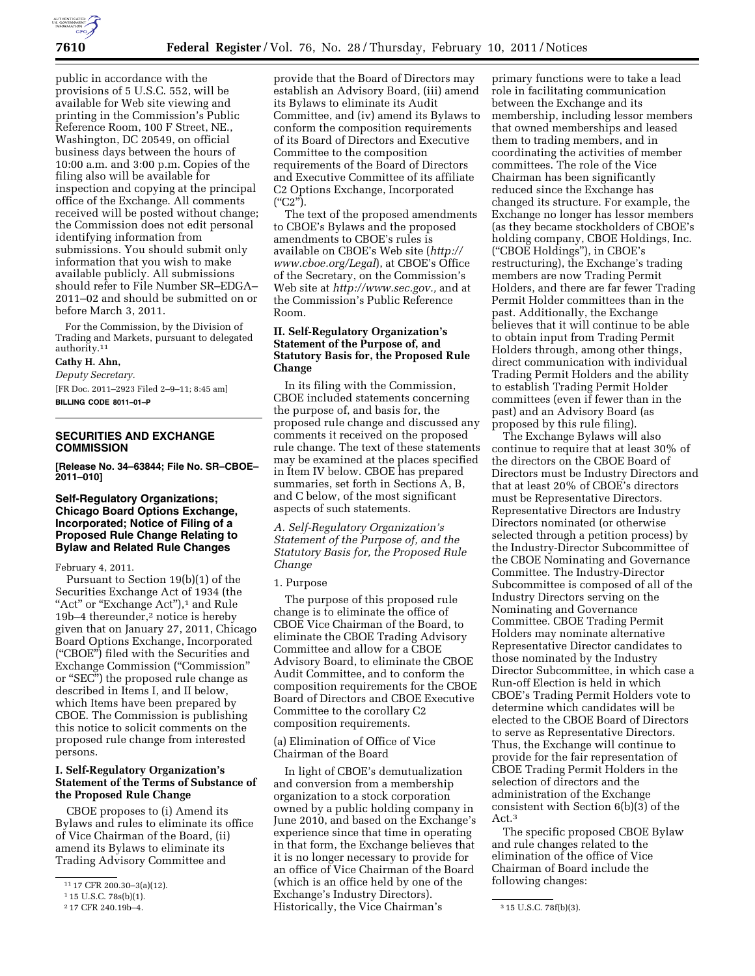

public in accordance with the provisions of 5 U.S.C. 552, will be available for Web site viewing and printing in the Commission's Public Reference Room, 100 F Street, NE., Washington, DC 20549, on official business days between the hours of 10:00 a.m. and 3:00 p.m. Copies of the filing also will be available for inspection and copying at the principal office of the Exchange. All comments received will be posted without change; the Commission does not edit personal identifying information from submissions. You should submit only information that you wish to make available publicly. All submissions should refer to File Number SR–EDGA– 2011–02 and should be submitted on or before March 3, 2011.

For the Commission, by the Division of Trading and Markets, pursuant to delegated authority.11

# **Cathy H. Ahn,**

*Deputy Secretary.* 

[FR Doc. 2011–2923 Filed 2–9–11; 8:45 am] **BILLING CODE 8011–01–P** 

# **SECURITIES AND EXCHANGE COMMISSION**

**[Release No. 34–63844; File No. SR–CBOE– 2011–010]** 

### **Self-Regulatory Organizations; Chicago Board Options Exchange, Incorporated; Notice of Filing of a Proposed Rule Change Relating to Bylaw and Related Rule Changes**

February 4, 2011.

Pursuant to Section 19(b)(1) of the Securities Exchange Act of 1934 (the "Act" or "Exchange Act"),<sup>1</sup> and Rule 19b–4 thereunder,<sup>2</sup> notice is hereby given that on January 27, 2011, Chicago Board Options Exchange, Incorporated (''CBOE'') filed with the Securities and Exchange Commission (''Commission'' or ''SEC'') the proposed rule change as described in Items I, and II below, which Items have been prepared by CBOE. The Commission is publishing this notice to solicit comments on the proposed rule change from interested persons.

# **I. Self-Regulatory Organization's Statement of the Terms of Substance of the Proposed Rule Change**

CBOE proposes to (i) Amend its Bylaws and rules to eliminate its office of Vice Chairman of the Board, (ii) amend its Bylaws to eliminate its Trading Advisory Committee and

provide that the Board of Directors may establish an Advisory Board, (iii) amend its Bylaws to eliminate its Audit Committee, and (iv) amend its Bylaws to conform the composition requirements of its Board of Directors and Executive Committee to the composition requirements of the Board of Directors and Executive Committee of its affiliate C2 Options Exchange, Incorporated  $($ "C2").

The text of the proposed amendments to CBOE's Bylaws and the proposed amendments to CBOE's rules is available on CBOE's Web site (*[http://](http://www.cboe.org/Legal) [www.cboe.org/Legal](http://www.cboe.org/Legal)*), at CBOE's Office of the Secretary, on the Commission's Web site at *[http://www.sec.gov.,](http://www.sec.gov)* and at the Commission's Public Reference Room.

# **II. Self-Regulatory Organization's Statement of the Purpose of, and Statutory Basis for, the Proposed Rule Change**

In its filing with the Commission, CBOE included statements concerning the purpose of, and basis for, the proposed rule change and discussed any comments it received on the proposed rule change. The text of these statements may be examined at the places specified in Item IV below. CBOE has prepared summaries, set forth in Sections A, B, and C below, of the most significant aspects of such statements.

*A. Self-Regulatory Organization's Statement of the Purpose of, and the Statutory Basis for, the Proposed Rule Change* 

#### 1. Purpose

The purpose of this proposed rule change is to eliminate the office of CBOE Vice Chairman of the Board, to eliminate the CBOE Trading Advisory Committee and allow for a CBOE Advisory Board, to eliminate the CBOE Audit Committee, and to conform the composition requirements for the CBOE Board of Directors and CBOE Executive Committee to the corollary C2 composition requirements.

(a) Elimination of Office of Vice Chairman of the Board

2 17 CFR 240.19b–4. 3 15 U.S.C. 78f(b)(3). Historically, the Vice Chairman's In light of CBOE's demutualization and conversion from a membership organization to a stock corporation owned by a public holding company in June 2010, and based on the Exchange's experience since that time in operating in that form, the Exchange believes that it is no longer necessary to provide for an office of Vice Chairman of the Board (which is an office held by one of the Exchange's Industry Directors).

primary functions were to take a lead role in facilitating communication between the Exchange and its membership, including lessor members that owned memberships and leased them to trading members, and in coordinating the activities of member committees. The role of the Vice Chairman has been significantly reduced since the Exchange has changed its structure. For example, the Exchange no longer has lessor members (as they became stockholders of CBOE's holding company, CBOE Holdings, Inc. (''CBOE Holdings''), in CBOE's restructuring), the Exchange's trading members are now Trading Permit Holders, and there are far fewer Trading Permit Holder committees than in the past. Additionally, the Exchange believes that it will continue to be able to obtain input from Trading Permit Holders through, among other things, direct communication with individual Trading Permit Holders and the ability to establish Trading Permit Holder committees (even if fewer than in the past) and an Advisory Board (as proposed by this rule filing).

The Exchange Bylaws will also continue to require that at least 30% of the directors on the CBOE Board of Directors must be Industry Directors and that at least 20% of CBOE's directors must be Representative Directors. Representative Directors are Industry Directors nominated (or otherwise selected through a petition process) by the Industry-Director Subcommittee of the CBOE Nominating and Governance Committee. The Industry-Director Subcommittee is composed of all of the Industry Directors serving on the Nominating and Governance Committee. CBOE Trading Permit Holders may nominate alternative Representative Director candidates to those nominated by the Industry Director Subcommittee, in which case a Run-off Election is held in which CBOE's Trading Permit Holders vote to determine which candidates will be elected to the CBOE Board of Directors to serve as Representative Directors. Thus, the Exchange will continue to provide for the fair representation of CBOE Trading Permit Holders in the selection of directors and the administration of the Exchange consistent with Section 6(b)(3) of the Act.3

The specific proposed CBOE Bylaw and rule changes related to the elimination of the office of Vice Chairman of Board include the following changes:

<sup>11</sup> 17 CFR 200.30–3(a)(12).

<sup>115</sup> U.S.C. 78s(b)(1).<br>217 CFR 240.19b-4.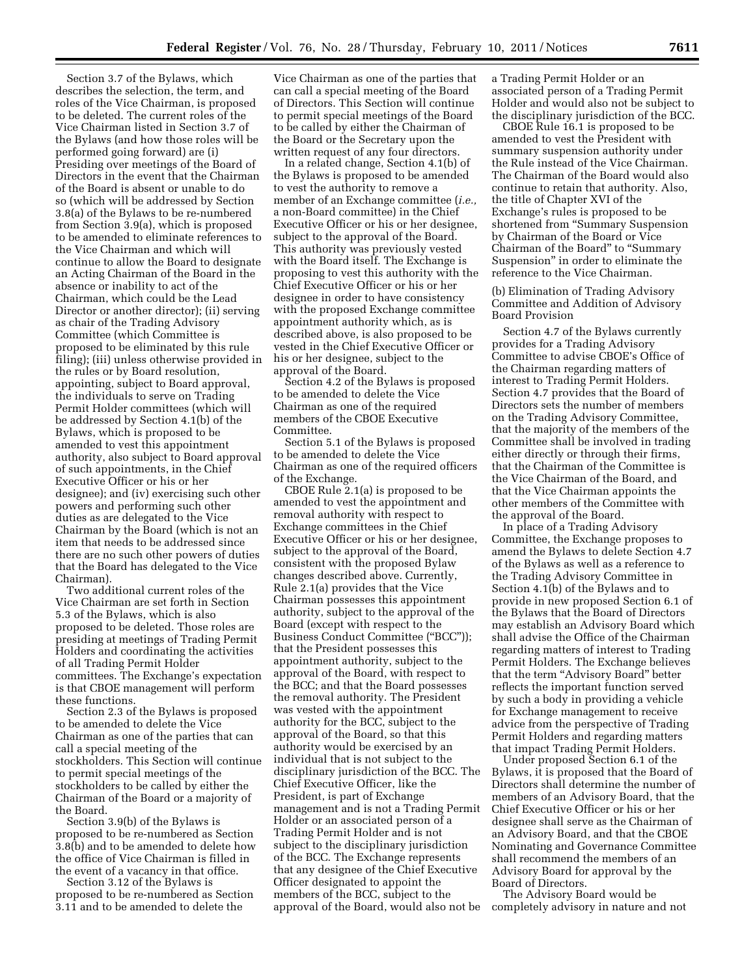Section 3.7 of the Bylaws, which describes the selection, the term, and roles of the Vice Chairman, is proposed to be deleted. The current roles of the Vice Chairman listed in Section 3.7 of the Bylaws (and how those roles will be performed going forward) are (i) Presiding over meetings of the Board of Directors in the event that the Chairman of the Board is absent or unable to do so (which will be addressed by Section 3.8(a) of the Bylaws to be re-numbered from Section 3.9(a), which is proposed to be amended to eliminate references to the Vice Chairman and which will continue to allow the Board to designate an Acting Chairman of the Board in the absence or inability to act of the Chairman, which could be the Lead Director or another director); (ii) serving as chair of the Trading Advisory Committee (which Committee is proposed to be eliminated by this rule filing); (iii) unless otherwise provided in the rules or by Board resolution, appointing, subject to Board approval, the individuals to serve on Trading Permit Holder committees (which will be addressed by Section 4.1(b) of the Bylaws, which is proposed to be amended to vest this appointment authority, also subject to Board approval of such appointments, in the Chief Executive Officer or his or her designee); and (iv) exercising such other powers and performing such other duties as are delegated to the Vice Chairman by the Board (which is not an item that needs to be addressed since there are no such other powers of duties that the Board has delegated to the Vice Chairman).

Two additional current roles of the Vice Chairman are set forth in Section 5.3 of the Bylaws, which is also proposed to be deleted. Those roles are presiding at meetings of Trading Permit Holders and coordinating the activities of all Trading Permit Holder committees. The Exchange's expectation is that CBOE management will perform these functions.

Section 2.3 of the Bylaws is proposed to be amended to delete the Vice Chairman as one of the parties that can call a special meeting of the stockholders. This Section will continue to permit special meetings of the stockholders to be called by either the Chairman of the Board or a majority of the Board.

Section 3.9(b) of the Bylaws is proposed to be re-numbered as Section 3.8(b) and to be amended to delete how the office of Vice Chairman is filled in the event of a vacancy in that office.

Section 3.12 of the Bylaws is proposed to be re-numbered as Section 3.11 and to be amended to delete the

Vice Chairman as one of the parties that can call a special meeting of the Board of Directors. This Section will continue to permit special meetings of the Board to be called by either the Chairman of the Board or the Secretary upon the written request of any four directors.

In a related change, Section 4.1(b) of the Bylaws is proposed to be amended to vest the authority to remove a member of an Exchange committee (*i.e.,*  a non-Board committee) in the Chief Executive Officer or his or her designee, subject to the approval of the Board. This authority was previously vested with the Board itself. The Exchange is proposing to vest this authority with the Chief Executive Officer or his or her designee in order to have consistency with the proposed Exchange committee appointment authority which, as is described above, is also proposed to be vested in the Chief Executive Officer or his or her designee, subject to the approval of the Board.

Section 4.2 of the Bylaws is proposed to be amended to delete the Vice Chairman as one of the required members of the CBOE Executive Committee.

Section 5.1 of the Bylaws is proposed to be amended to delete the Vice Chairman as one of the required officers of the Exchange.

CBOE Rule 2.1(a) is proposed to be amended to vest the appointment and removal authority with respect to Exchange committees in the Chief Executive Officer or his or her designee, subject to the approval of the Board, consistent with the proposed Bylaw changes described above. Currently, Rule 2.1(a) provides that the Vice Chairman possesses this appointment authority, subject to the approval of the Board (except with respect to the Business Conduct Committee (''BCC'')); that the President possesses this appointment authority, subject to the approval of the Board, with respect to the BCC; and that the Board possesses the removal authority. The President was vested with the appointment authority for the BCC, subject to the approval of the Board, so that this authority would be exercised by an individual that is not subject to the disciplinary jurisdiction of the BCC. The Chief Executive Officer, like the President, is part of Exchange management and is not a Trading Permit Holder or an associated person of a Trading Permit Holder and is not subject to the disciplinary jurisdiction of the BCC. The Exchange represents that any designee of the Chief Executive Officer designated to appoint the members of the BCC, subject to the approval of the Board, would also not be

a Trading Permit Holder or an associated person of a Trading Permit Holder and would also not be subject to the disciplinary jurisdiction of the BCC.

CBOE Rule 16.1 is proposed to be amended to vest the President with summary suspension authority under the Rule instead of the Vice Chairman. The Chairman of the Board would also continue to retain that authority. Also, the title of Chapter XVI of the Exchange's rules is proposed to be shortened from ''Summary Suspension by Chairman of the Board or Vice Chairman of the Board" to "Summary Suspension'' in order to eliminate the reference to the Vice Chairman.

(b) Elimination of Trading Advisory Committee and Addition of Advisory Board Provision

Section 4.7 of the Bylaws currently provides for a Trading Advisory Committee to advise CBOE's Office of the Chairman regarding matters of interest to Trading Permit Holders. Section 4.7 provides that the Board of Directors sets the number of members on the Trading Advisory Committee, that the majority of the members of the Committee shall be involved in trading either directly or through their firms, that the Chairman of the Committee is the Vice Chairman of the Board, and that the Vice Chairman appoints the other members of the Committee with the approval of the Board.

In place of a Trading Advisory Committee, the Exchange proposes to amend the Bylaws to delete Section 4.7 of the Bylaws as well as a reference to the Trading Advisory Committee in Section 4.1(b) of the Bylaws and to provide in new proposed Section 6.1 of the Bylaws that the Board of Directors may establish an Advisory Board which shall advise the Office of the Chairman regarding matters of interest to Trading Permit Holders. The Exchange believes that the term "Advisory Board" better reflects the important function served by such a body in providing a vehicle for Exchange management to receive advice from the perspective of Trading Permit Holders and regarding matters that impact Trading Permit Holders.

Under proposed Section 6.1 of the Bylaws, it is proposed that the Board of Directors shall determine the number of members of an Advisory Board, that the Chief Executive Officer or his or her designee shall serve as the Chairman of an Advisory Board, and that the CBOE Nominating and Governance Committee shall recommend the members of an Advisory Board for approval by the Board of Directors.

The Advisory Board would be completely advisory in nature and not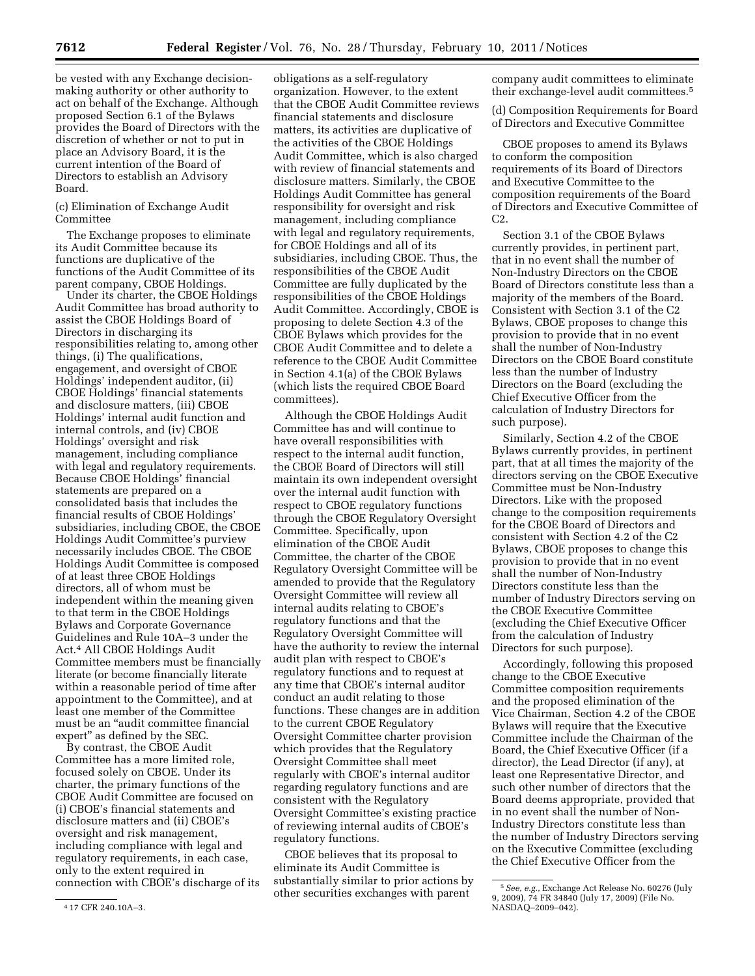be vested with any Exchange decisionmaking authority or other authority to act on behalf of the Exchange. Although proposed Section 6.1 of the Bylaws provides the Board of Directors with the discretion of whether or not to put in place an Advisory Board, it is the current intention of the Board of Directors to establish an Advisory Board.

(c) Elimination of Exchange Audit Committee

The Exchange proposes to eliminate its Audit Committee because its functions are duplicative of the functions of the Audit Committee of its parent company, CBOE Holdings.

Under its charter, the CBOE Holdings Audit Committee has broad authority to assist the CBOE Holdings Board of Directors in discharging its responsibilities relating to, among other things, (i) The qualifications, engagement, and oversight of CBOE Holdings' independent auditor, (ii) CBOE Holdings' financial statements and disclosure matters, (iii) CBOE Holdings' internal audit function and internal controls, and (iv) CBOE Holdings' oversight and risk management, including compliance with legal and regulatory requirements. Because CBOE Holdings' financial statements are prepared on a consolidated basis that includes the financial results of CBOE Holdings' subsidiaries, including CBOE, the CBOE Holdings Audit Committee's purview necessarily includes CBOE. The CBOE Holdings Audit Committee is composed of at least three CBOE Holdings directors, all of whom must be independent within the meaning given to that term in the CBOE Holdings Bylaws and Corporate Governance Guidelines and Rule 10A–3 under the Act.4 All CBOE Holdings Audit Committee members must be financially literate (or become financially literate within a reasonable period of time after appointment to the Committee), and at least one member of the Committee must be an ''audit committee financial expert'' as defined by the SEC.

By contrast, the CBOE Audit Committee has a more limited role, focused solely on CBOE. Under its charter, the primary functions of the CBOE Audit Committee are focused on (i) CBOE's financial statements and disclosure matters and (ii) CBOE's oversight and risk management, including compliance with legal and regulatory requirements, in each case, only to the extent required in connection with CBOE's discharge of its

4 17 CFR 240.10A–3.

obligations as a self-regulatory organization. However, to the extent that the CBOE Audit Committee reviews financial statements and disclosure matters, its activities are duplicative of the activities of the CBOE Holdings Audit Committee, which is also charged with review of financial statements and disclosure matters. Similarly, the CBOE Holdings Audit Committee has general responsibility for oversight and risk management, including compliance with legal and regulatory requirements, for CBOE Holdings and all of its subsidiaries, including CBOE. Thus, the responsibilities of the CBOE Audit Committee are fully duplicated by the responsibilities of the CBOE Holdings Audit Committee. Accordingly, CBOE is proposing to delete Section 4.3 of the CBOE Bylaws which provides for the CBOE Audit Committee and to delete a reference to the CBOE Audit Committee in Section 4.1(a) of the CBOE Bylaws (which lists the required CBOE Board committees).

Although the CBOE Holdings Audit Committee has and will continue to have overall responsibilities with respect to the internal audit function, the CBOE Board of Directors will still maintain its own independent oversight over the internal audit function with respect to CBOE regulatory functions through the CBOE Regulatory Oversight Committee. Specifically, upon elimination of the CBOE Audit Committee, the charter of the CBOE Regulatory Oversight Committee will be amended to provide that the Regulatory Oversight Committee will review all internal audits relating to CBOE's regulatory functions and that the Regulatory Oversight Committee will have the authority to review the internal audit plan with respect to CBOE's regulatory functions and to request at any time that CBOE's internal auditor conduct an audit relating to those functions. These changes are in addition to the current CBOE Regulatory Oversight Committee charter provision which provides that the Regulatory Oversight Committee shall meet regularly with CBOE's internal auditor regarding regulatory functions and are consistent with the Regulatory Oversight Committee's existing practice of reviewing internal audits of CBOE's regulatory functions.

CBOE believes that its proposal to eliminate its Audit Committee is substantially similar to prior actions by other securities exchanges with parent

company audit committees to eliminate their exchange-level audit committees.5

(d) Composition Requirements for Board of Directors and Executive Committee

CBOE proposes to amend its Bylaws to conform the composition requirements of its Board of Directors and Executive Committee to the composition requirements of the Board of Directors and Executive Committee of C<sub>2</sub>.

Section 3.1 of the CBOE Bylaws currently provides, in pertinent part, that in no event shall the number of Non-Industry Directors on the CBOE Board of Directors constitute less than a majority of the members of the Board. Consistent with Section 3.1 of the C2 Bylaws, CBOE proposes to change this provision to provide that in no event shall the number of Non-Industry Directors on the CBOE Board constitute less than the number of Industry Directors on the Board (excluding the Chief Executive Officer from the calculation of Industry Directors for such purpose).

Similarly, Section 4.2 of the CBOE Bylaws currently provides, in pertinent part, that at all times the majority of the directors serving on the CBOE Executive Committee must be Non-Industry Directors. Like with the proposed change to the composition requirements for the CBOE Board of Directors and consistent with Section 4.2 of the C2 Bylaws, CBOE proposes to change this provision to provide that in no event shall the number of Non-Industry Directors constitute less than the number of Industry Directors serving on the CBOE Executive Committee (excluding the Chief Executive Officer from the calculation of Industry Directors for such purpose).

Accordingly, following this proposed change to the CBOE Executive Committee composition requirements and the proposed elimination of the Vice Chairman, Section 4.2 of the CBOE Bylaws will require that the Executive Committee include the Chairman of the Board, the Chief Executive Officer (if a director), the Lead Director (if any), at least one Representative Director, and such other number of directors that the Board deems appropriate, provided that in no event shall the number of Non-Industry Directors constitute less than the number of Industry Directors serving on the Executive Committee (excluding the Chief Executive Officer from the

<sup>5</sup>*See, e.g.,* Exchange Act Release No. 60276 (July 9, 2009), 74 FR 34840 (July 17, 2009) (File No. NASDAQ–2009–042).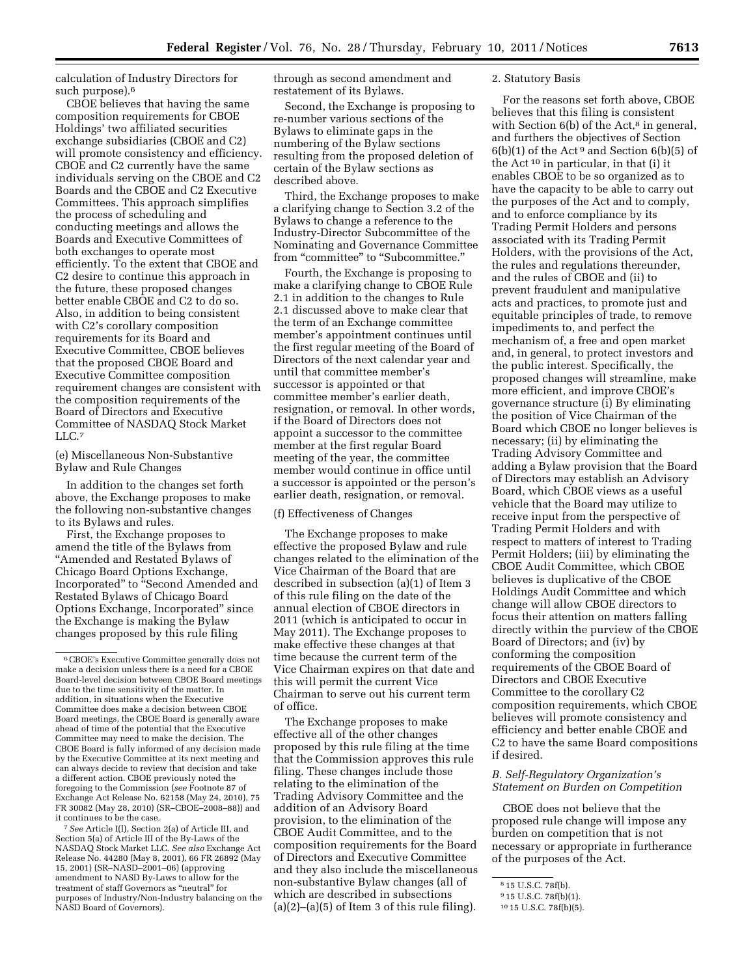calculation of Industry Directors for such purpose).6

CBOE believes that having the same composition requirements for CBOE Holdings' two affiliated securities exchange subsidiaries (CBOE and C2) will promote consistency and efficiency. CBOE and C2 currently have the same individuals serving on the CBOE and C2 Boards and the CBOE and C2 Executive Committees. This approach simplifies the process of scheduling and conducting meetings and allows the Boards and Executive Committees of both exchanges to operate most efficiently. To the extent that CBOE and C2 desire to continue this approach in the future, these proposed changes better enable CBOE and C2 to do so. Also, in addition to being consistent with C2's corollary composition requirements for its Board and Executive Committee, CBOE believes that the proposed CBOE Board and Executive Committee composition requirement changes are consistent with the composition requirements of the Board of Directors and Executive Committee of NASDAQ Stock Market LLC.7

(e) Miscellaneous Non-Substantive Bylaw and Rule Changes

In addition to the changes set forth above, the Exchange proposes to make the following non-substantive changes to its Bylaws and rules.

First, the Exchange proposes to amend the title of the Bylaws from ''Amended and Restated Bylaws of Chicago Board Options Exchange, Incorporated'' to ''Second Amended and Restated Bylaws of Chicago Board Options Exchange, Incorporated'' since the Exchange is making the Bylaw changes proposed by this rule filing

7*See* Article I(l), Section 2(a) of Article III, and Section 5(a) of Article III of the By-Laws of the NASDAQ Stock Market LLC. *See also* Exchange Act Release No. 44280 (May 8, 2001), 66 FR 26892 (May 15, 2001) (SR–NASD–2001–06) (approving amendment to NASD By-Laws to allow for the treatment of staff Governors as ''neutral'' for purposes of Industry/Non-Industry balancing on the NASD Board of Governors).

through as second amendment and restatement of its Bylaws.

Second, the Exchange is proposing to re-number various sections of the Bylaws to eliminate gaps in the numbering of the Bylaw sections resulting from the proposed deletion of certain of the Bylaw sections as described above.

Third, the Exchange proposes to make a clarifying change to Section 3.2 of the Bylaws to change a reference to the Industry-Director Subcommittee of the Nominating and Governance Committee from "committee" to "Subcommittee."

Fourth, the Exchange is proposing to make a clarifying change to CBOE Rule 2.1 in addition to the changes to Rule 2.1 discussed above to make clear that the term of an Exchange committee member's appointment continues until the first regular meeting of the Board of Directors of the next calendar year and until that committee member's successor is appointed or that committee member's earlier death, resignation, or removal. In other words, if the Board of Directors does not appoint a successor to the committee member at the first regular Board meeting of the year, the committee member would continue in office until a successor is appointed or the person's earlier death, resignation, or removal.

#### (f) Effectiveness of Changes

The Exchange proposes to make effective the proposed Bylaw and rule changes related to the elimination of the Vice Chairman of the Board that are described in subsection (a)(1) of Item 3 of this rule filing on the date of the annual election of CBOE directors in 2011 (which is anticipated to occur in May 2011). The Exchange proposes to make effective these changes at that time because the current term of the Vice Chairman expires on that date and this will permit the current Vice Chairman to serve out his current term of office.

The Exchange proposes to make effective all of the other changes proposed by this rule filing at the time that the Commission approves this rule filing. These changes include those relating to the elimination of the Trading Advisory Committee and the addition of an Advisory Board provision, to the elimination of the CBOE Audit Committee, and to the composition requirements for the Board of Directors and Executive Committee and they also include the miscellaneous non-substantive Bylaw changes (all of which are described in subsections  $(a)(2)$ – $(a)(5)$  of Item 3 of this rule filing).

#### 2. Statutory Basis

For the reasons set forth above, CBOE believes that this filing is consistent with Section 6(b) of the Act,<sup>8</sup> in general, and furthers the objectives of Section  $6(b)(1)$  of the Act<sup>9</sup> and Section  $6(b)(5)$  of the Act 10 in particular, in that (i) it enables CBOE to be so organized as to have the capacity to be able to carry out the purposes of the Act and to comply, and to enforce compliance by its Trading Permit Holders and persons associated with its Trading Permit Holders, with the provisions of the Act, the rules and regulations thereunder, and the rules of CBOE and (ii) to prevent fraudulent and manipulative acts and practices, to promote just and equitable principles of trade, to remove impediments to, and perfect the mechanism of, a free and open market and, in general, to protect investors and the public interest. Specifically, the proposed changes will streamline, make more efficient, and improve CBOE's governance structure (i) By eliminating the position of Vice Chairman of the Board which CBOE no longer believes is necessary; (ii) by eliminating the Trading Advisory Committee and adding a Bylaw provision that the Board of Directors may establish an Advisory Board, which CBOE views as a useful vehicle that the Board may utilize to receive input from the perspective of Trading Permit Holders and with respect to matters of interest to Trading Permit Holders; (iii) by eliminating the CBOE Audit Committee, which CBOE believes is duplicative of the CBOE Holdings Audit Committee and which change will allow CBOE directors to focus their attention on matters falling directly within the purview of the CBOE Board of Directors; and (iv) by conforming the composition requirements of the CBOE Board of Directors and CBOE Executive Committee to the corollary C2 composition requirements, which CBOE believes will promote consistency and efficiency and better enable CBOE and C2 to have the same Board compositions if desired.

# *B. Self-Regulatory Organization's Statement on Burden on Competition*

CBOE does not believe that the proposed rule change will impose any burden on competition that is not necessary or appropriate in furtherance of the purposes of the Act.

<sup>6</sup>CBOE's Executive Committee generally does not make a decision unless there is a need for a CBOE Board-level decision between CBOE Board meetings due to the time sensitivity of the matter. In addition, in situations when the Executive Committee does make a decision between CBOE Board meetings, the CBOE Board is generally aware ahead of time of the potential that the Executive Committee may need to make the decision. The CBOE Board is fully informed of any decision made by the Executive Committee at its next meeting and can always decide to review that decision and take a different action. CBOE previously noted the foregoing to the Commission (*see* Footnote 87 of Exchange Act Release No. 62158 (May 24, 2010), 75 FR 30082 (May 28, 2010) (SR–CBOE–2008–88)) and it continues to be the case.

<sup>8</sup> 15 U.S.C. 78f(b).

<sup>9</sup> 15 U.S.C. 78f(b)(1).

<sup>10</sup> 15 U.S.C. 78f(b)(5).